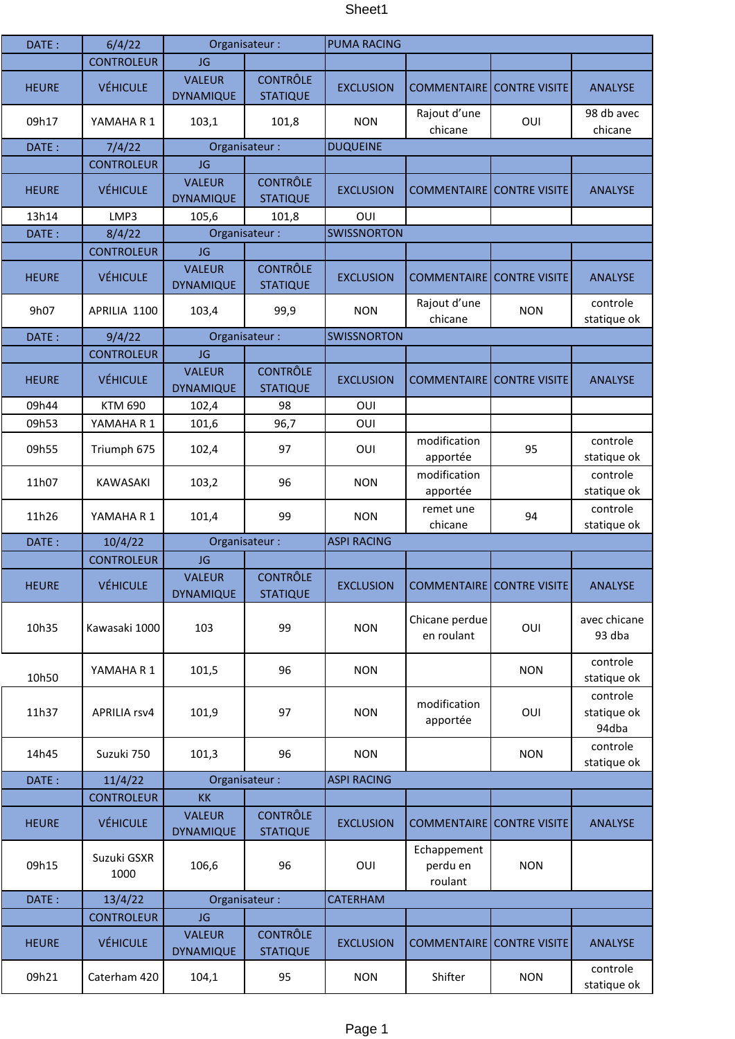## Sheet1

| DATE:        | 6/4/22              | Organisateur:                     |                                    | <b>PUMA RACING</b> |                                    |                      |                                  |
|--------------|---------------------|-----------------------------------|------------------------------------|--------------------|------------------------------------|----------------------|----------------------------------|
|              | <b>CONTROLEUR</b>   | <b>JG</b>                         |                                    |                    |                                    |                      |                                  |
| <b>HEURE</b> | <b>VÉHICULE</b>     | <b>VALEUR</b><br><b>DYNAMIQUE</b> | <b>CONTRÔLE</b><br><b>STATIQUE</b> | <b>EXCLUSION</b>   | <b>COMMENTAIRE CONTRE VISITE</b>   |                      | <b>ANALYSE</b>                   |
| 09h17        | YAMAHAR1            | 103,1                             | 101,8                              | <b>NON</b>         | Rajout d'une<br>chicane            | OUI                  | 98 db avec<br>chicane            |
| DATE:        | 7/4/22              |                                   | Organisateur:                      | <b>DUQUEINE</b>    |                                    |                      |                                  |
|              | <b>CONTROLEUR</b>   | JG                                |                                    |                    |                                    |                      |                                  |
| <b>HEURE</b> | <b>VÉHICULE</b>     | <b>VALEUR</b><br><b>DYNAMIQUE</b> | <b>CONTRÔLE</b><br><b>STATIQUE</b> | <b>EXCLUSION</b>   | <b>COMMENTAIRE CONTRE VISITE</b>   |                      | <b>ANALYSE</b>                   |
| 13h14        | LMP3                | 105,6                             | 101,8                              | OUI                |                                    |                      |                                  |
| DATE:        | 8/4/22              | Organisateur:                     |                                    | <b>SWISSNORTON</b> |                                    |                      |                                  |
|              | <b>CONTROLEUR</b>   | JG                                |                                    |                    |                                    |                      |                                  |
| <b>HEURE</b> | <b>VÉHICULE</b>     | <b>VALEUR</b><br><b>DYNAMIQUE</b> | <b>CONTRÔLE</b><br><b>STATIQUE</b> | <b>EXCLUSION</b>   | <b>COMMENTAIRE</b>                 | <b>CONTRE VISITE</b> | <b>ANALYSE</b>                   |
| 9h07         | APRILIA 1100        | 103,4                             | 99,9                               | <b>NON</b>         | Rajout d'une<br>chicane            | <b>NON</b>           | controle<br>statique ok          |
| DATE:        | 9/4/22              |                                   | Organisateur:                      | <b>SWISSNORTON</b> |                                    |                      |                                  |
|              | <b>CONTROLEUR</b>   | JG                                |                                    |                    |                                    |                      |                                  |
| <b>HEURE</b> | <b>VÉHICULE</b>     | <b>VALEUR</b><br><b>DYNAMIQUE</b> | <b>CONTRÔLE</b><br><b>STATIQUE</b> | <b>EXCLUSION</b>   | <b>COMMENTAIRE</b>                 | <b>CONTRE VISITE</b> | <b>ANALYSE</b>                   |
| 09h44        | <b>KTM 690</b>      | 102,4                             | 98                                 | OUI                |                                    |                      |                                  |
| 09h53        | YAMAHA R 1          | 101,6                             | 96,7                               | OUI                |                                    |                      |                                  |
| 09h55        | Triumph 675         | 102,4                             | 97                                 | OUI                | modification<br>apportée           | 95                   | controle<br>statique ok          |
| 11h07        | KAWASAKI            | 103,2                             | 96                                 | <b>NON</b>         | modification<br>apportée           |                      | controle<br>statique ok          |
| 11h26        | YAMAHA R 1          | 101,4                             | 99                                 | <b>NON</b>         | remet une<br>chicane               | 94                   | controle<br>statique ok          |
|              |                     | Organisateur :                    |                                    |                    |                                    |                      |                                  |
| DATE:        | 10/4/22             |                                   |                                    | <b>ASPI RACING</b> |                                    |                      |                                  |
|              | <b>CONTROLEUR</b>   | JG                                |                                    |                    |                                    |                      |                                  |
| <b>HEURE</b> | <b>VÉHICULE</b>     | <b>VALEUR</b><br><b>DYNAMIQUE</b> | <b>CONTRÔLE</b><br><b>STATIQUE</b> | <b>EXCLUSION</b>   | <b>COMMENTAIRE</b> CONTRE VISITE   |                      | <b>ANALYSE</b>                   |
| 10h35        | Kawasaki 1000       | 103                               | 99                                 | <b>NON</b>         | Chicane perdue<br>en roulant       | OUI                  | avec chicane<br>93 dba           |
| 10h50        | YAMAHA R 1          | 101,5                             | 96                                 | <b>NON</b>         |                                    | <b>NON</b>           | controle<br>statique ok          |
| 11h37        | <b>APRILIA rsv4</b> | 101,9                             | 97                                 | <b>NON</b>         | modification<br>apportée           | OUI                  | controle<br>statique ok<br>94dba |
| 14h45        | Suzuki 750          | 101,3                             | 96                                 | <b>NON</b>         |                                    | <b>NON</b>           | controle<br>statique ok          |
| DATE:        | 11/4/22             |                                   | Organisateur:                      | <b>ASPI RACING</b> |                                    |                      |                                  |
|              | <b>CONTROLEUR</b>   | KK                                |                                    |                    |                                    |                      |                                  |
| <b>HEURE</b> | <b>VÉHICULE</b>     | <b>VALEUR</b><br><b>DYNAMIQUE</b> | <b>CONTRÔLE</b><br><b>STATIQUE</b> | <b>EXCLUSION</b>   | <b>COMMENTAIRE</b>                 | <b>CONTRE VISITE</b> | <b>ANALYSE</b>                   |
| 09h15        | Suzuki GSXR<br>1000 | 106,6                             | 96                                 | OUI                | Echappement<br>perdu en<br>roulant | <b>NON</b>           |                                  |
| DATE:        | 13/4/22             |                                   | Organisateur:                      | CATERHAM           |                                    |                      |                                  |
|              | <b>CONTROLEUR</b>   | JG                                |                                    |                    |                                    |                      |                                  |
| <b>HEURE</b> | <b>VÉHICULE</b>     | <b>VALEUR</b><br><b>DYNAMIQUE</b> | <b>CONTRÔLE</b><br><b>STATIQUE</b> | <b>EXCLUSION</b>   | <b>COMMENTAIRE</b>                 | <b>CONTRE VISITE</b> | <b>ANALYSE</b>                   |